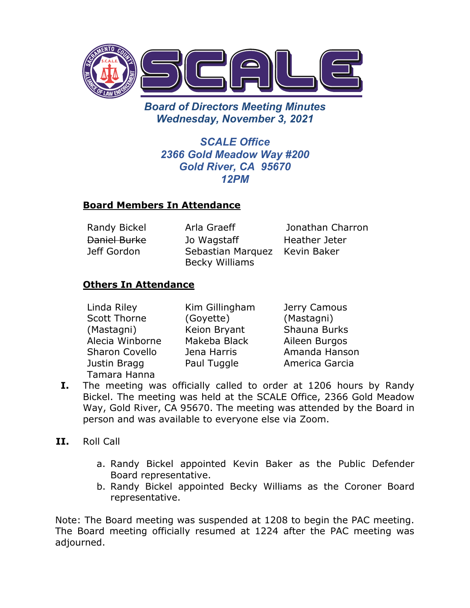

*Board of Directors Meeting Minutes Wednesday, November 3, 2021*

*SCALE Office 2366 Gold Meadow Way #200 Gold River, CA 95670 12PM*

### **Board Members In Attendance**

Daniel Burke Jeff Gordon

Jo Wagstaff Sebastian Marquez Kevin Baker Becky Williams

Randy Bickel Arla Graeff Jonathan Charron Heather Jeter

## **Others In Attendance**

| Linda Riley           | Kim Gillingham | Jerry Camous   |
|-----------------------|----------------|----------------|
| <b>Scott Thorne</b>   | (Goyette)      | (Mastagni)     |
| (Mastagni)            | Keion Bryant   | Shauna Burks   |
| Alecia Winborne       | Makeba Black   | Aileen Burgos  |
| <b>Sharon Covello</b> | Jena Harris    | Amanda Hanson  |
| Justin Bragg          | Paul Tuggle    | America Garcia |
| Tamara Hanna          |                |                |

- **I.** The meeting was officially called to order at 1206 hours by Randy Bickel. The meeting was held at the SCALE Office, 2366 Gold Meadow Way, Gold River, CA 95670. The meeting was attended by the Board in person and was available to everyone else via Zoom.
- **II.** Roll Call
	- a. Randy Bickel appointed Kevin Baker as the Public Defender Board representative.
	- b. Randy Bickel appointed Becky Williams as the Coroner Board representative.

Note: The Board meeting was suspended at 1208 to begin the PAC meeting. The Board meeting officially resumed at 1224 after the PAC meeting was adjourned.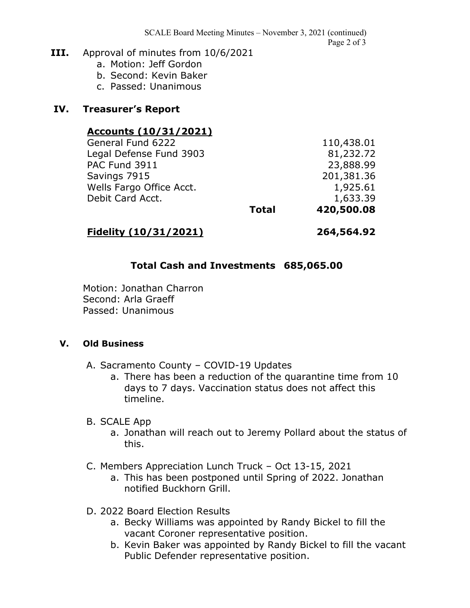SCALE Board Meeting Minutes – November 3, 2021 (continued) Page 2 of 3

#### **III.** Approval of minutes from 10/6/2021

- a. Motion: Jeff Gordon
- b. Second: Kevin Baker
- c. Passed: Unanimous

#### **IV. Treasurer's Report**

#### **Accounts (10/31/2021)**

| General Fund 6222        |              | 110,438.01 |
|--------------------------|--------------|------------|
| Legal Defense Fund 3903  |              | 81,232.72  |
| <b>PAC Fund 3911</b>     |              | 23,888.99  |
| Savings 7915             |              | 201,381.36 |
| Wells Fargo Office Acct. |              | 1,925.61   |
| Debit Card Acct.         |              | 1,633.39   |
|                          | <b>Total</b> | 420,500.08 |
|                          |              |            |

#### **Fidelity (10/31/2021) 264,564.92**

### **Total Cash and Investments 685,065.00**

Motion: Jonathan Charron Second: Arla Graeff Passed: Unanimous

#### **V. Old Business**

- A. Sacramento County COVID-19 Updates
	- a. There has been a reduction of the quarantine time from 10 days to 7 days. Vaccination status does not affect this timeline.

#### B. SCALE App

- a. Jonathan will reach out to Jeremy Pollard about the status of this.
- C. Members Appreciation Lunch Truck Oct 13-15, 2021
	- a. This has been postponed until Spring of 2022. Jonathan notified Buckhorn Grill.
- D. 2022 Board Election Results
	- a. Becky Williams was appointed by Randy Bickel to fill the vacant Coroner representative position.
	- b. Kevin Baker was appointed by Randy Bickel to fill the vacant Public Defender representative position.